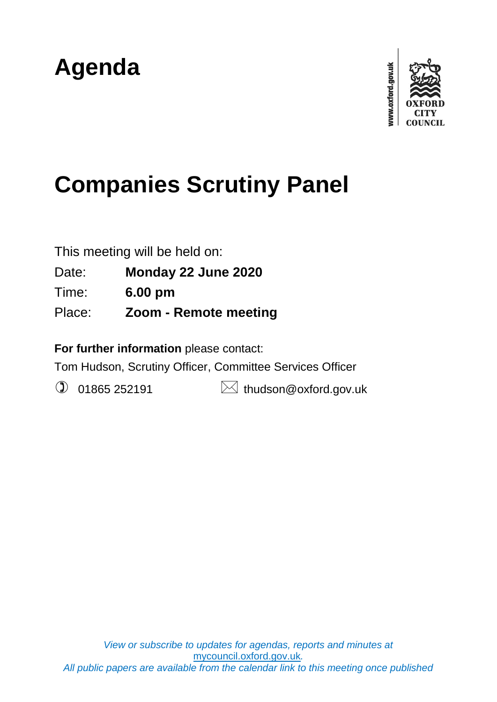## **Agenda**



# **Companies Scrutiny Panel**

This meeting will be held on:

Date: **Monday 22 June 2020**

Time: **6.00 pm**

Place: **Zoom - Remote meeting**

**For further information** please contact:

Tom Hudson, Scrutiny Officer, Committee Services Officer

 $\circled{1}$  01865 252191  $\bullet$  thudson@oxford.gov.uk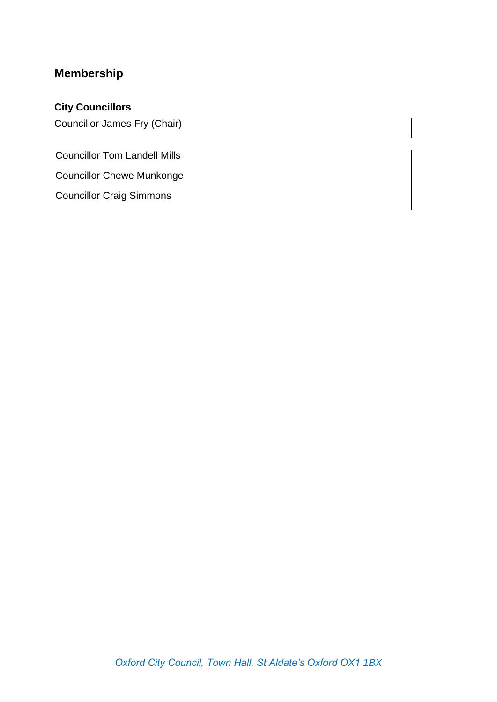### **Membership**

#### **City Councillors**

Councillor James Fry (Chair)

Councillor Tom Landell Mills Councillor Chewe Munkonge Councillor Craig Simmons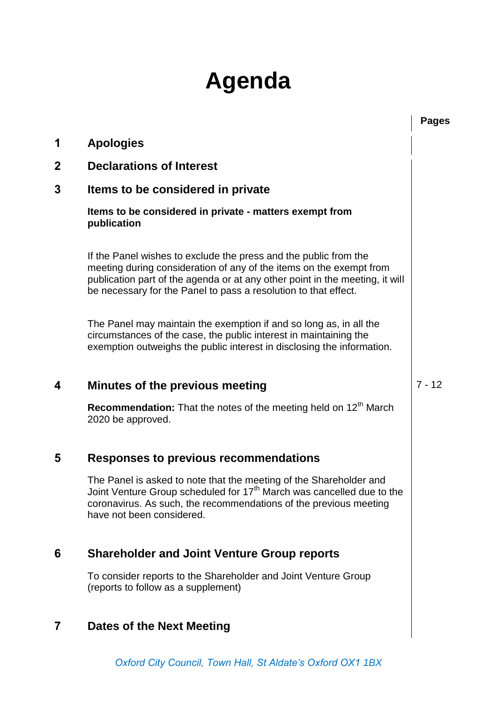### **Agenda**

|             |                                                                                                                                                                                                                                                                                            | <b>Pages</b> |
|-------------|--------------------------------------------------------------------------------------------------------------------------------------------------------------------------------------------------------------------------------------------------------------------------------------------|--------------|
| 1           | <b>Apologies</b>                                                                                                                                                                                                                                                                           |              |
| $\mathbf 2$ | <b>Declarations of Interest</b>                                                                                                                                                                                                                                                            |              |
| 3           | Items to be considered in private                                                                                                                                                                                                                                                          |              |
|             | Items to be considered in private - matters exempt from<br>publication                                                                                                                                                                                                                     |              |
|             | If the Panel wishes to exclude the press and the public from the<br>meeting during consideration of any of the items on the exempt from<br>publication part of the agenda or at any other point in the meeting, it will<br>be necessary for the Panel to pass a resolution to that effect. |              |
|             | The Panel may maintain the exemption if and so long as, in all the<br>circumstances of the case, the public interest in maintaining the<br>exemption outweighs the public interest in disclosing the information.                                                                          |              |
| 4           | Minutes of the previous meeting                                                                                                                                                                                                                                                            | $7 - 12$     |
|             | Recommendation: That the notes of the meeting held on 12 <sup>th</sup> March<br>2020 be approved.                                                                                                                                                                                          |              |
| 5           | <b>Responses to previous recommendations</b>                                                                                                                                                                                                                                               |              |
|             | The Panel is asked to note that the meeting of the Shareholder and<br>Joint Venture Group scheduled for 17 <sup>th</sup> March was cancelled due to the<br>coronavirus. As such, the recommendations of the previous meeting<br>have not been considered.                                  |              |
| 6           | <b>Shareholder and Joint Venture Group reports</b>                                                                                                                                                                                                                                         |              |
|             | To consider reports to the Shareholder and Joint Venture Group<br>(reports to follow as a supplement)                                                                                                                                                                                      |              |
| 7           | Dates of the Next Meeting                                                                                                                                                                                                                                                                  |              |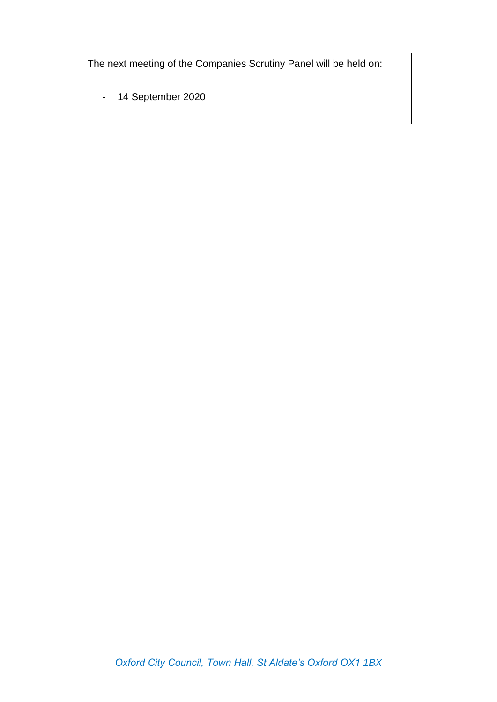The next meeting of the Companies Scrutiny Panel will be held on:

- 14 September 2020